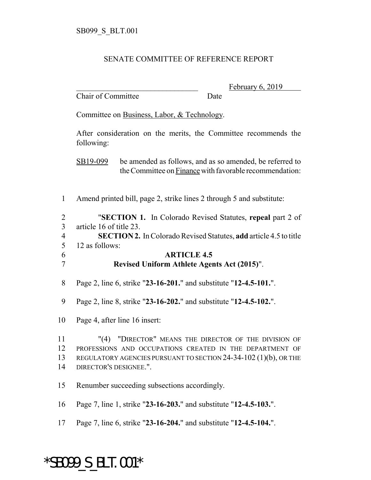## SENATE COMMITTEE OF REFERENCE REPORT

Chair of Committee Date

February 6, 2019

Committee on Business, Labor, & Technology.

After consideration on the merits, the Committee recommends the following:

SB19-099 be amended as follows, and as so amended, be referred to the Committee on Finance with favorable recommendation:

1 Amend printed bill, page 2, strike lines 2 through 5 and substitute:

2 "**SECTION 1.** In Colorado Revised Statutes, **repeal** part 2 of 3 article 16 of title 23.

4 **SECTION 2.** In Colorado Revised Statutes, **add** article 4.5 to title 5 12 as follows:

## 6 **ARTICLE 4.5**

#### 7 **Revised Uniform Athlete Agents Act (2015)**".

- 8 Page 2, line 6, strike "**23-16-201.**" and substitute "**12-4.5-101.**".
- 9 Page 2, line 8, strike "**23-16-202.**" and substitute "**12-4.5-102.**".
- 10 Page 4, after line 16 insert:

11 "(4) "DIRECTOR" MEANS THE DIRECTOR OF THE DIVISION OF 12 PROFESSIONS AND OCCUPATIONS CREATED IN THE DEPARTMENT OF 13 REGULATORY AGENCIES PURSUANT TO SECTION 24-34-102 (1)(b), OR THE 14 DIRECTOR'S DESIGNEE.".

- 15 Renumber succeeding subsections accordingly.
- 16 Page 7, line 1, strike "**23-16-203.**" and substitute "**12-4.5-103.**".
- 17 Page 7, line 6, strike "**23-16-204.**" and substitute "**12-4.5-104.**".

# \*SB099\_S\_BLT.001\*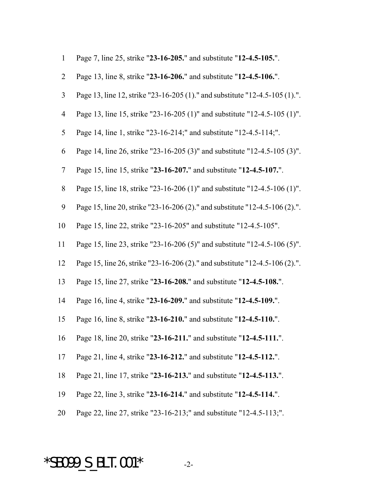| $\mathbf{1}$   | Page 7, line 25, strike "23-16-205." and substitute "12-4.5-105.".          |
|----------------|-----------------------------------------------------------------------------|
| $\overline{2}$ | Page 13, line 8, strike "23-16-206." and substitute "12-4.5-106.".          |
| $\mathfrak{Z}$ | Page 13, line 12, strike "23-16-205 (1)." and substitute "12-4.5-105 (1).". |
| $\overline{4}$ | Page 13, line 15, strike "23-16-205 (1)" and substitute "12-4.5-105 (1)".   |
| 5              | Page 14, line 1, strike "23-16-214;" and substitute "12-4.5-114;".          |
| 6              | Page 14, line 26, strike "23-16-205 (3)" and substitute "12-4.5-105 (3)".   |
| $\overline{7}$ | Page 15, line 15, strike "23-16-207." and substitute "12-4.5-107.".         |
| 8              | Page 15, line 18, strike "23-16-206 (1)" and substitute "12-4.5-106 (1)".   |
| 9              | Page 15, line 20, strike "23-16-206 (2)." and substitute "12-4.5-106 (2).". |
| 10             | Page 15, line 22, strike "23-16-205" and substitute "12-4.5-105".           |
| 11             | Page 15, line 23, strike "23-16-206 (5)" and substitute "12-4.5-106 (5)".   |
| 12             | Page 15, line 26, strike "23-16-206 (2)." and substitute "12-4.5-106 (2).". |
| 13             | Page 15, line 27, strike "23-16-208." and substitute "12-4.5-108.".         |
| 14             | Page 16, line 4, strike "23-16-209." and substitute "12-4.5-109.".          |
| 15             | Page 16, line 8, strike "23-16-210." and substitute "12-4.5-110.".          |
| 16             | Page 18, line 20, strike "23-16-211." and substitute "12-4.5-111.".         |
| 17             | Page 21, line 4, strike "23-16-212." and substitute "12-4.5-112.".          |
| 18             | Page 21, line 17, strike "23-16-213." and substitute "12-4.5-113.".         |
| 19             | Page 22, line 3, strike "23-16-214." and substitute "12-4.5-114.".          |
| 20             | Page 22, line 27, strike "23-16-213;" and substitute "12-4.5-113;".         |
|                |                                                                             |

# \*SB099\_S\_BLT.001\* -2-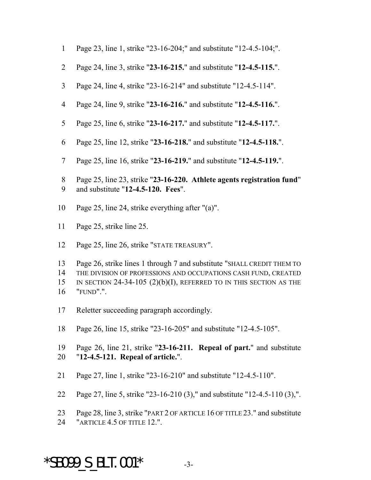- Page 23, line 1, strike "23-16-204;" and substitute "12-4.5-104;".
- Page 24, line 3, strike "**23-16-215.**" and substitute "**12-4.5-115.**".
- Page 24, line 4, strike "23-16-214" and substitute "12-4.5-114".
- Page 24, line 9, strike "**23-16-216.**" and substitute "**12-4.5-116.**".
- Page 25, line 6, strike "**23-16-217.**" and substitute "**12-4.5-117.**".
- Page 25, line 12, strike "**23-16-218.**" and substitute "**12-4.5-118.**".
- Page 25, line 16, strike "**23-16-219.**" and substitute "**12-4.5-119.**".
- Page 25, line 23, strike "**23-16-220. Athlete agents registration fund**" and substitute "**12-4.5-120. Fees**".
- Page 25, line 24, strike everything after "(a)".
- Page 25, strike line 25.
- Page 25, line 26, strike "STATE TREASURY".
- Page 26, strike lines 1 through 7 and substitute "SHALL CREDIT THEM TO THE DIVISION OF PROFESSIONS AND OCCUPATIONS CASH FUND, CREATED IN SECTION 24-34-105 (2)(b)(I), REFERRED TO IN THIS SECTION AS THE "FUND".".
- Reletter succeeding paragraph accordingly.
- Page 26, line 15, strike "23-16-205" and substitute "12-4.5-105".
- Page 26, line 21, strike "**23-16-211. Repeal of part.**" and substitute "**12-4.5-121. Repeal of article.**".
- Page 27, line 1, strike "23-16-210" and substitute "12-4.5-110".
- Page 27, line 5, strike "23-16-210 (3)," and substitute "12-4.5-110 (3),".
- Page 28, line 3, strike "PART 2 OF ARTICLE 16 OF TITLE 23." and substitute "ARTICLE 4.5 OF TITLE 12.".

\*SB099 S BLT.001\*  $-3$ -